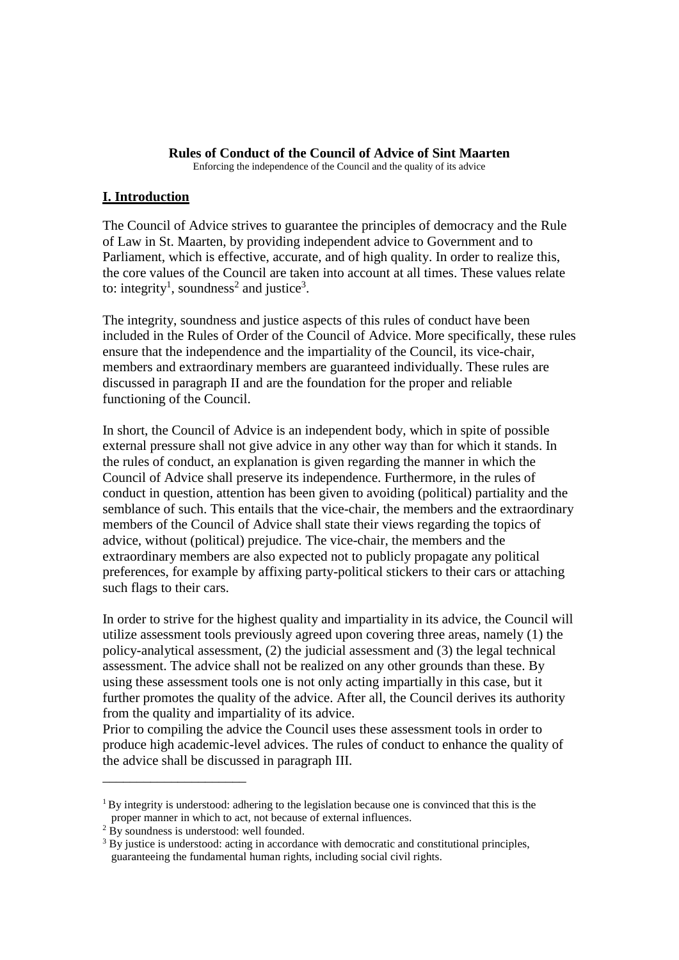#### **Rules of Conduct of the Council of Advice of Sint Maarten**

Enforcing the independence of the Council and the quality of its advice

## **I. Introduction**

The Council of Advice strives to guarantee the principles of democracy and the Rule of Law in St. Maarten, by providing independent advice to Government and to Parliament, which is effective, accurate, and of high quality. In order to realize this, the core values of the Council are taken into account at all times. These values relate to: integrity<sup>1</sup>, soundness<sup>2</sup> and justice<sup>3</sup>.

The integrity, soundness and justice aspects of this rules of conduct have been included in the Rules of Order of the Council of Advice. More specifically, these rules ensure that the independence and the impartiality of the Council, its vice-chair, members and extraordinary members are guaranteed individually. These rules are discussed in paragraph II and are the foundation for the proper and reliable functioning of the Council.

In short, the Council of Advice is an independent body, which in spite of possible external pressure shall not give advice in any other way than for which it stands. In the rules of conduct, an explanation is given regarding the manner in which the Council of Advice shall preserve its independence. Furthermore, in the rules of conduct in question, attention has been given to avoiding (political) partiality and the semblance of such. This entails that the vice-chair, the members and the extraordinary members of the Council of Advice shall state their views regarding the topics of advice, without (political) prejudice. The vice-chair, the members and the extraordinary members are also expected not to publicly propagate any political preferences, for example by affixing party-political stickers to their cars or attaching such flags to their cars.

In order to strive for the highest quality and impartiality in its advice, the Council will utilize assessment tools previously agreed upon covering three areas, namely (1) the policy-analytical assessment, (2) the judicial assessment and (3) the legal technical assessment. The advice shall not be realized on any other grounds than these. By using these assessment tools one is not only acting impartially in this case, but it further promotes the quality of the advice. After all, the Council derives its authority from the quality and impartiality of its advice.

Prior to compiling the advice the Council uses these assessment tools in order to produce high academic-level advices. The rules of conduct to enhance the quality of the advice shall be discussed in paragraph III.

\_\_\_\_\_\_\_\_\_\_\_\_\_\_\_\_\_\_\_\_\_

 $1$  By integrity is understood: adhering to the legislation because one is convinced that this is the proper manner in which to act, not because of external influences.

 $2 \text{ By}$  soundness is understood: well founded.

<sup>&</sup>lt;sup>3</sup> By justice is understood: acting in accordance with democratic and constitutional principles, guaranteeing the fundamental human rights, including social civil rights.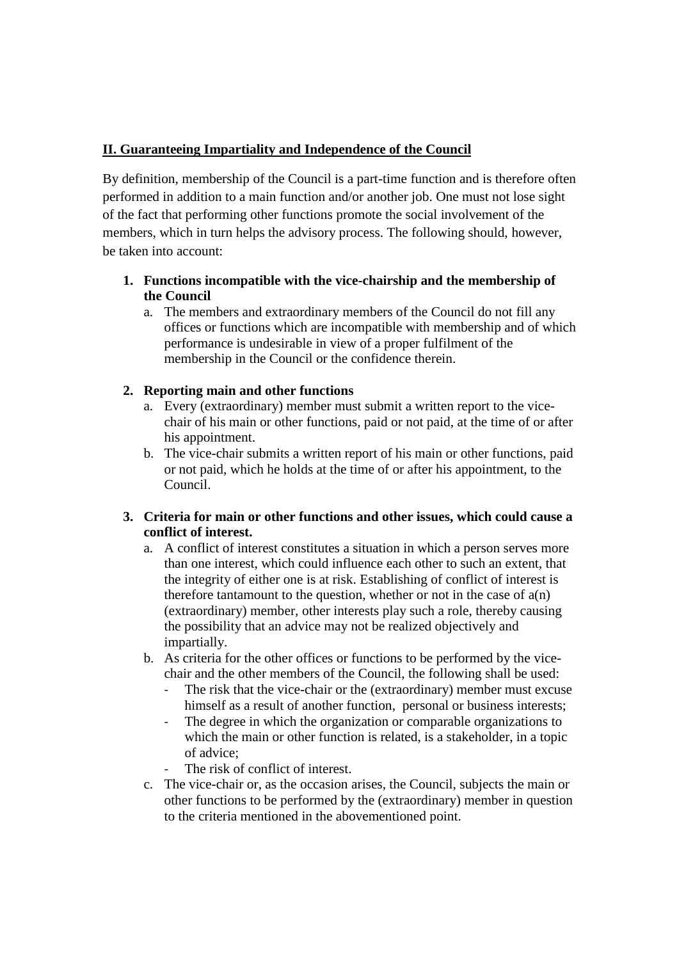# **II. Guaranteeing Impartiality and Independence of the Council**

By definition, membership of the Council is a part-time function and is therefore often performed in addition to a main function and/or another job. One must not lose sight of the fact that performing other functions promote the social involvement of the members, which in turn helps the advisory process. The following should, however, be taken into account:

# **1. Functions incompatible with the vice-chairship and the membership of the Council**

a. The members and extraordinary members of the Council do not fill any offices or functions which are incompatible with membership and of which performance is undesirable in view of a proper fulfilment of the membership in the Council or the confidence therein.

# **2. Reporting main and other functions**

- a. Every (extraordinary) member must submit a written report to the vicechair of his main or other functions, paid or not paid, at the time of or after his appointment.
- b. The vice-chair submits a written report of his main or other functions, paid or not paid, which he holds at the time of or after his appointment, to the Council.

# **3. Criteria for main or other functions and other issues, which could cause a conflict of interest.**

- a. A conflict of interest constitutes a situation in which a person serves more than one interest, which could influence each other to such an extent, that the integrity of either one is at risk. Establishing of conflict of interest is therefore tantamount to the question, whether or not in the case of a(n) (extraordinary) member, other interests play such a role, thereby causing the possibility that an advice may not be realized objectively and impartially.
- b. As criteria for the other offices or functions to be performed by the vicechair and the other members of the Council, the following shall be used:
	- The risk that the vice-chair or the (extraordinary) member must excuse himself as a result of another function, personal or business interests;
	- The degree in which the organization or comparable organizations to which the main or other function is related, is a stakeholder, in a topic of advice;
	- The risk of conflict of interest.
- c. The vice-chair or, as the occasion arises, the Council, subjects the main or other functions to be performed by the (extraordinary) member in question to the criteria mentioned in the abovementioned point.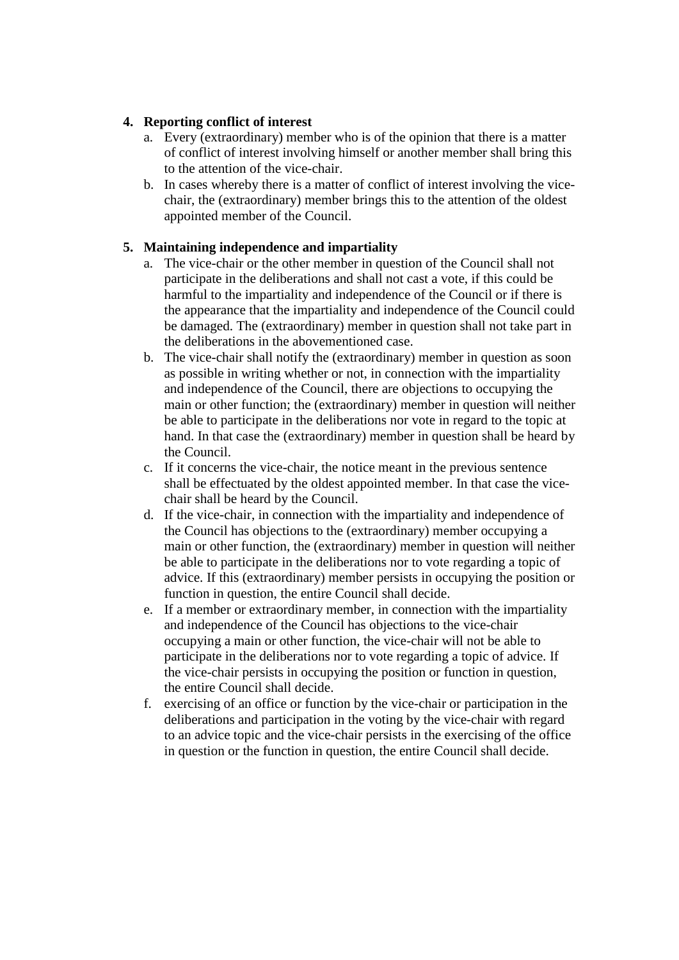## **4. Reporting conflict of interest**

- a. Every (extraordinary) member who is of the opinion that there is a matter of conflict of interest involving himself or another member shall bring this to the attention of the vice-chair.
- b. In cases whereby there is a matter of conflict of interest involving the vicechair, the (extraordinary) member brings this to the attention of the oldest appointed member of the Council.

# **5. Maintaining independence and impartiality**

- a. The vice-chair or the other member in question of the Council shall not participate in the deliberations and shall not cast a vote, if this could be harmful to the impartiality and independence of the Council or if there is the appearance that the impartiality and independence of the Council could be damaged. The (extraordinary) member in question shall not take part in the deliberations in the abovementioned case.
- b. The vice-chair shall notify the (extraordinary) member in question as soon as possible in writing whether or not, in connection with the impartiality and independence of the Council, there are objections to occupying the main or other function; the (extraordinary) member in question will neither be able to participate in the deliberations nor vote in regard to the topic at hand. In that case the (extraordinary) member in question shall be heard by the Council.
- c. If it concerns the vice-chair, the notice meant in the previous sentence shall be effectuated by the oldest appointed member. In that case the vicechair shall be heard by the Council.
- d. If the vice-chair, in connection with the impartiality and independence of the Council has objections to the (extraordinary) member occupying a main or other function, the (extraordinary) member in question will neither be able to participate in the deliberations nor to vote regarding a topic of advice. If this (extraordinary) member persists in occupying the position or function in question, the entire Council shall decide.
- e. If a member or extraordinary member, in connection with the impartiality and independence of the Council has objections to the vice-chair occupying a main or other function, the vice-chair will not be able to participate in the deliberations nor to vote regarding a topic of advice. If the vice-chair persists in occupying the position or function in question, the entire Council shall decide.
- f. exercising of an office or function by the vice-chair or participation in the deliberations and participation in the voting by the vice-chair with regard to an advice topic and the vice-chair persists in the exercising of the office in question or the function in question, the entire Council shall decide.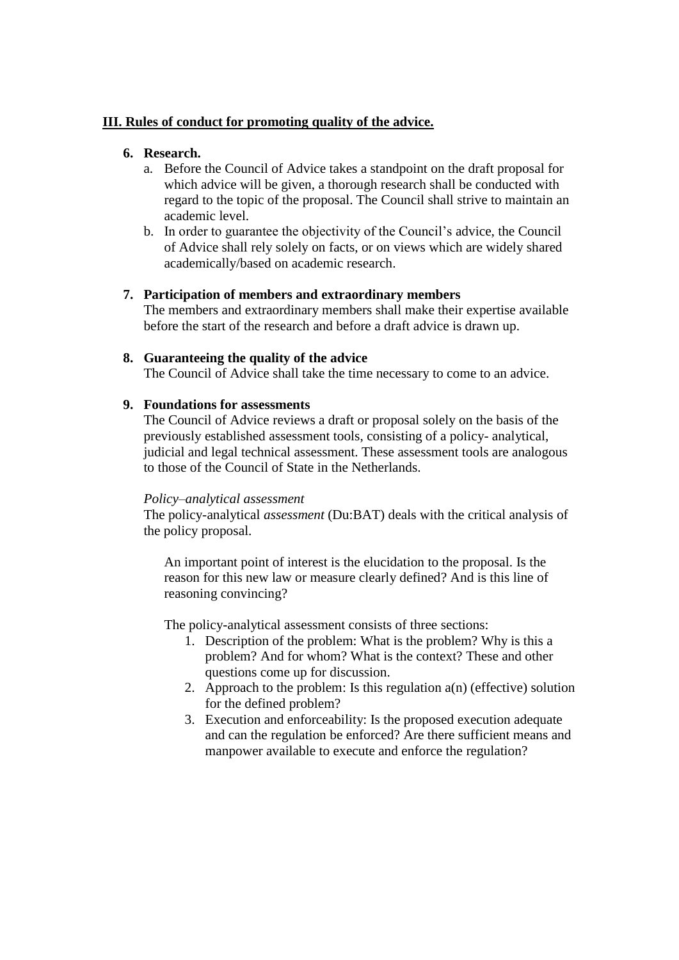### **III. Rules of conduct for promoting quality of the advice.**

## **6. Research.**

- a. Before the Council of Advice takes a standpoint on the draft proposal for which advice will be given, a thorough research shall be conducted with regard to the topic of the proposal. The Council shall strive to maintain an academic level.
- b. In order to guarantee the objectivity of the Council's advice, the Council of Advice shall rely solely on facts, or on views which are widely shared academically/based on academic research.

## **7. Participation of members and extraordinary members**

The members and extraordinary members shall make their expertise available before the start of the research and before a draft advice is drawn up.

## **8. Guaranteeing the quality of the advice**

The Council of Advice shall take the time necessary to come to an advice.

## **9. Foundations for assessments**

The Council of Advice reviews a draft or proposal solely on the basis of the previously established assessment tools, consisting of a policy- analytical, judicial and legal technical assessment. These assessment tools are analogous to those of the Council of State in the Netherlands.

#### *Policy–analytical assessment*

The policy-analytical *assessment* (Du:BAT) deals with the critical analysis of the policy proposal.

An important point of interest is the elucidation to the proposal. Is the reason for this new law or measure clearly defined? And is this line of reasoning convincing?

The policy-analytical assessment consists of three sections:

- 1. Description of the problem: What is the problem? Why is this a problem? And for whom? What is the context? These and other questions come up for discussion.
- 2. Approach to the problem: Is this regulation  $a(n)$  (effective) solution for the defined problem?
- 3. Execution and enforceability: Is the proposed execution adequate and can the regulation be enforced? Are there sufficient means and manpower available to execute and enforce the regulation?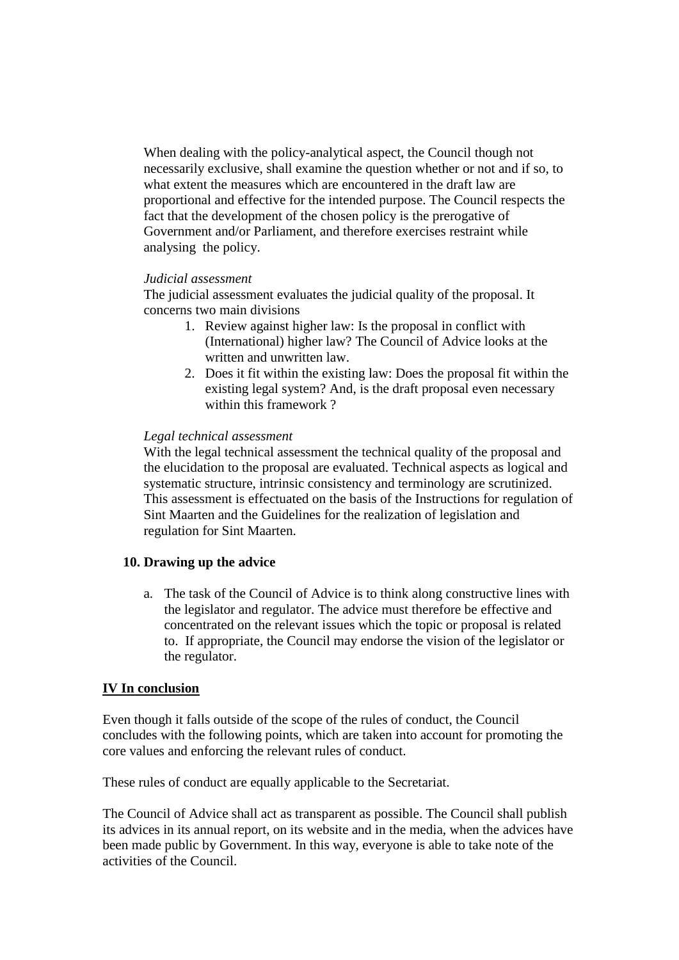When dealing with the policy-analytical aspect, the Council though not necessarily exclusive, shall examine the question whether or not and if so, to what extent the measures which are encountered in the draft law are proportional and effective for the intended purpose. The Council respects the fact that the development of the chosen policy is the prerogative of Government and/or Parliament, and therefore exercises restraint while analysing the policy.

#### *Judicial assessment*

The judicial assessment evaluates the judicial quality of the proposal. It concerns two main divisions

- 1. Review against higher law: Is the proposal in conflict with (International) higher law? The Council of Advice looks at the written and unwritten law.
- 2. Does it fit within the existing law: Does the proposal fit within the existing legal system? And, is the draft proposal even necessary within this framework ?

#### *Legal technical assessment*

With the legal technical assessment the technical quality of the proposal and the elucidation to the proposal are evaluated. Technical aspects as logical and systematic structure, intrinsic consistency and terminology are scrutinized. This assessment is effectuated on the basis of the Instructions for regulation of Sint Maarten and the Guidelines for the realization of legislation and regulation for Sint Maarten.

#### **10. Drawing up the advice**

a. The task of the Council of Advice is to think along constructive lines with the legislator and regulator. The advice must therefore be effective and concentrated on the relevant issues which the topic or proposal is related to. If appropriate, the Council may endorse the vision of the legislator or the regulator.

#### **IV In conclusion**

Even though it falls outside of the scope of the rules of conduct, the Council concludes with the following points, which are taken into account for promoting the core values and enforcing the relevant rules of conduct.

These rules of conduct are equally applicable to the Secretariat.

The Council of Advice shall act as transparent as possible. The Council shall publish its advices in its annual report, on its website and in the media, when the advices have been made public by Government. In this way, everyone is able to take note of the activities of the Council.